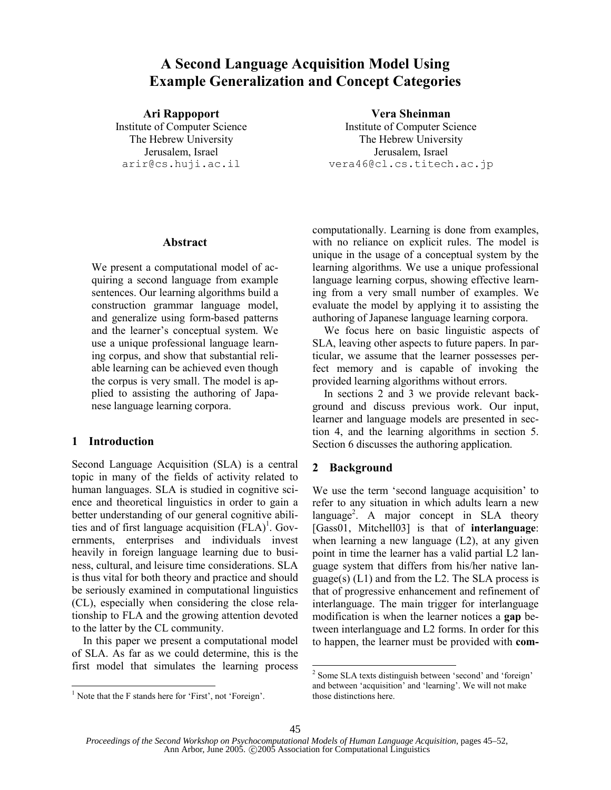# **A Second Language Acquisition Model Using Example Generalization and Concept Categories**

#### **Ari Rappoport Vera Sheinman**

Institute of Computer Science Institute of Computer Science The Hebrew University The Hebrew University Jerusalem, Israel Jerusalem, Israel arir@cs.huji.ac.il vera46@cl.cs.titech.ac.jp

#### **Abstract**

We present a computational model of acquiring a second language from example sentences. Our learning algorithms build a construction grammar language model, and generalize using form-based patterns and the learner's conceptual system. We use a unique professional language learning corpus, and show that substantial reliable learning can be achieved even though the corpus is very small. The model is applied to assisting the authoring of Japanese language learning corpora.

#### **1 Introduction**

Second Language Acquisition (SLA) is a central topic in many of the fields of activity related to human languages. SLA is studied in cognitive science and theoretical linguistics in order to gain a better understanding of our general cognitive abilities and of first language acquisition  $(FLA)^1$ . Governments, enterprises and individuals invest heavily in foreign language learning due to business, cultural, and leisure time considerations. SLA is thus vital for both theory and practice and should be seriously examined in computational linguistics (CL), especially when considering the close relationship to FLA and the growing attention devoted to the latter by the CL community.

In this paper we present a computational model of SLA. As far as we could determine, this is the first model that simulates the learning process computationally. Learning is done from examples, with no reliance on explicit rules. The model is unique in the usage of a conceptual system by the learning algorithms. We use a unique professional language learning corpus, showing effective learning from a very small number of examples. We evaluate the model by applying it to assisting the authoring of Japanese language learning corpora.

We focus here on basic linguistic aspects of SLA, leaving other aspects to future papers. In particular, we assume that the learner possesses perfect memory and is capable of invoking the provided learning algorithms without errors.

In sections 2 and 3 we provide relevant background and discuss previous work. Our input, learner and language models are presented in section 4, and the learning algorithms in section 5. Section 6 discusses the authoring application.

# **2 Background**

We use the term 'second language acquisition' to refer to any situation in which adults learn a new language<sup>2</sup>. A major concept in SLA theory [Gass01, Mitchell03] is that of **interlanguage**: when learning a new language (L2), at any given point in time the learner has a valid partial L2 language system that differs from his/her native language(s)  $(L1)$  and from the L2. The SLA process is that of progressive enhancement and refinement of interlanguage. The main trigger for interlanguage modification is when the learner notices a **gap** between interlanguage and L2 forms. In order for this to happen, the learner must be provided with **com-**

<sup>&</sup>lt;sup>1</sup> Note that the F stands here for 'First', not 'Foreign'.

<sup>2</sup> Some SLA texts distinguish between 'second' and 'foreign' and between 'acquisition' and 'learning'. We will not make those distinctions here.

*Proceedings of the Second Workshop on Psychocomputational Models of Human Language Acquisition*, pages 45–52, Ann Arbor, June 2005. © 2005 Association for Computational Linguistics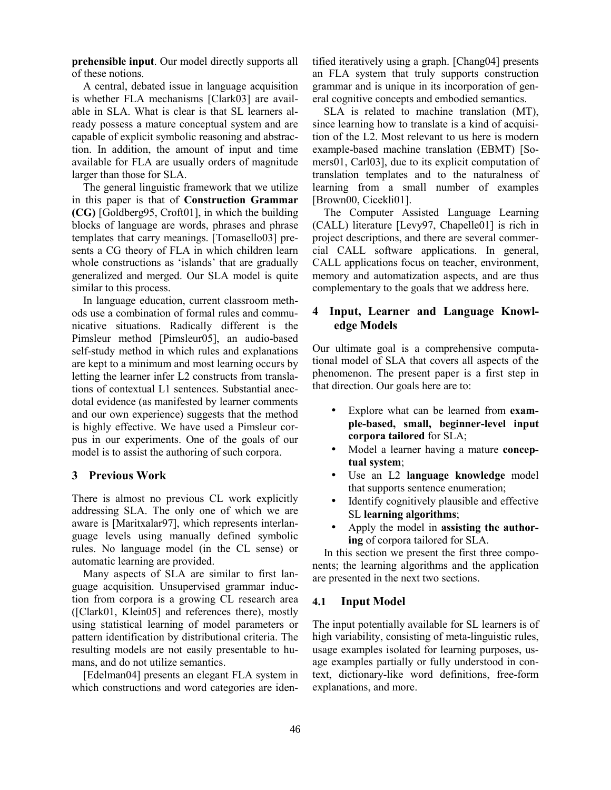**prehensible input**. Our model directly supports all of these notions.

A central, debated issue in language acquisition is whether FLA mechanisms [Clark03] are available in SLA. What is clear is that SL learners already possess a mature conceptual system and are capable of explicit symbolic reasoning and abstraction. In addition, the amount of input and time available for FLA are usually orders of magnitude larger than those for SLA.

The general linguistic framework that we utilize in this paper is that of **Construction Grammar (CG)** [Goldberg95, Croft01], in which the building blocks of language are words, phrases and phrase templates that carry meanings. [Tomasello03] presents a CG theory of FLA in which children learn whole constructions as 'islands' that are gradually generalized and merged. Our SLA model is quite similar to this process.

In language education, current classroom methods use a combination of formal rules and communicative situations. Radically different is the Pimsleur method [Pimsleur05], an audio-based self-study method in which rules and explanations are kept to a minimum and most learning occurs by letting the learner infer L2 constructs from translations of contextual L1 sentences. Substantial anecdotal evidence (as manifested by learner comments and our own experience) suggests that the method is highly effective. We have used a Pimsleur corpus in our experiments. One of the goals of our model is to assist the authoring of such corpora.

#### **3 Previous Work**

There is almost no previous CL work explicitly addressing SLA. The only one of which we are aware is [Maritxalar97], which represents interlanguage levels using manually defined symbolic rules. No language model (in the CL sense) or automatic learning are provided.

Many aspects of SLA are similar to first language acquisition. Unsupervised grammar induction from corpora is a growing CL research area ([Clark01, Klein05] and references there), mostly using statistical learning of model parameters or pattern identification by distributional criteria. The resulting models are not easily presentable to humans, and do not utilize semantics.

[Edelman04] presents an elegant FLA system in which constructions and word categories are identified iteratively using a graph. [Chang04] presents an FLA system that truly supports construction grammar and is unique in its incorporation of general cognitive concepts and embodied semantics.

SLA is related to machine translation (MT), since learning how to translate is a kind of acquisition of the L2. Most relevant to us here is modern example-based machine translation (EBMT) [Somers01, Carl03], due to its explicit computation of translation templates and to the naturalness of learning from a small number of examples [Brown00, Cicekli01].

The Computer Assisted Language Learning (CALL) literature [Levy97, Chapelle01] is rich in project descriptions, and there are several commercial CALL software applications. In general, CALL applications focus on teacher, environment, memory and automatization aspects, and are thus complementary to the goals that we address here.

# **4 Input, Learner and Language Knowledge Models**

Our ultimate goal is a comprehensive computational model of SLA that covers all aspects of the phenomenon. The present paper is a first step in that direction. Our goals here are to:

- Explore what can be learned from **example-based, small, beginner-level input corpora tailored** for SLA;
- Model a learner having a mature **conceptual system**;
- Use an L2 language knowledge model that supports sentence enumeration;
- Identify cognitively plausible and effective SL **learning algorithms**;
- Apply the model in **assisting the authoring** of corpora tailored for SLA.

In this section we present the first three components; the learning algorithms and the application are presented in the next two sections.

# **4.1 Input Model**

The input potentially available for SL learners is of high variability, consisting of meta-linguistic rules, usage examples isolated for learning purposes, usage examples partially or fully understood in context, dictionary-like word definitions, free-form explanations, and more.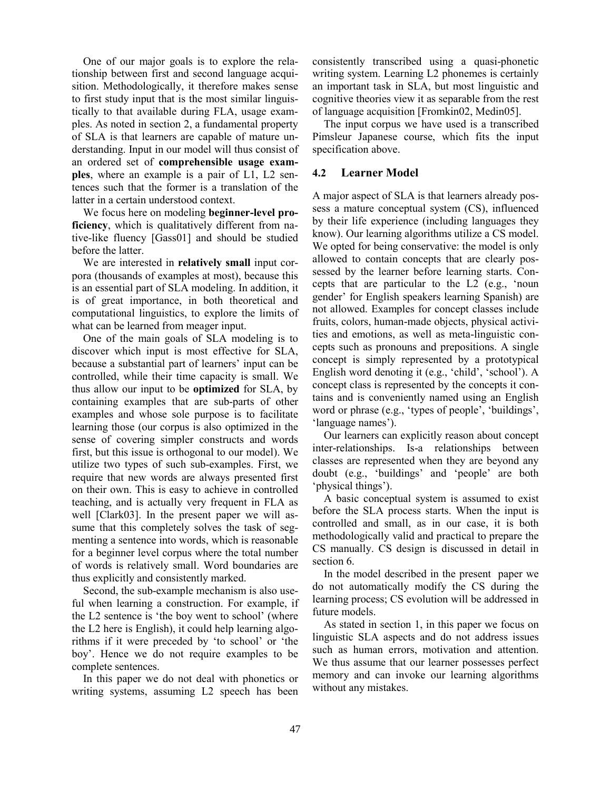One of our major goals is to explore the relationship between first and second language acquisition. Methodologically, it therefore makes sense to first study input that is the most similar linguistically to that available during FLA, usage examples. As noted in section 2, a fundamental property of SLA is that learners are capable of mature understanding. Input in our model will thus consist of an ordered set of **comprehensible usage examples**, where an example is a pair of L1, L2 sentences such that the former is a translation of the latter in a certain understood context.

We focus here on modeling **beginner-level proficiency**, which is qualitatively different from native-like fluency [Gass01] and should be studied before the latter.

We are interested in **relatively small** input corpora (thousands of examples at most), because this is an essential part of SLA modeling. In addition, it is of great importance, in both theoretical and computational linguistics, to explore the limits of what can be learned from meager input.

One of the main goals of SLA modeling is to discover which input is most effective for SLA, because a substantial part of learners' input can be controlled, while their time capacity is small. We thus allow our input to be **optimized** for SLA, by containing examples that are sub-parts of other examples and whose sole purpose is to facilitate learning those (our corpus is also optimized in the sense of covering simpler constructs and words first, but this issue is orthogonal to our model). We utilize two types of such sub-examples. First, we require that new words are always presented first on their own. This is easy to achieve in controlled teaching, and is actually very frequent in FLA as well [Clark03]. In the present paper we will assume that this completely solves the task of segmenting a sentence into words, which is reasonable for a beginner level corpus where the total number of words is relatively small. Word boundaries are thus explicitly and consistently marked.

Second, the sub-example mechanism is also useful when learning a construction. For example, if the L2 sentence is 'the boy went to school' (where the L2 here is English), it could help learning algorithms if it were preceded by 'to school' or 'the boy'. Hence we do not require examples to be complete sentences.

In this paper we do not deal with phonetics or writing systems, assuming L2 speech has been consistently transcribed using a quasi-phonetic writing system. Learning L2 phonemes is certainly an important task in SLA, but most linguistic and cognitive theories view it as separable from the rest of language acquisition [Fromkin02, Medin05].

The input corpus we have used is a transcribed Pimsleur Japanese course, which fits the input specification above.

# **4.2 Learner Model**

A major aspect of SLA is that learners already possess a mature conceptual system (CS), influenced by their life experience (including languages they know). Our learning algorithms utilize a CS model. We opted for being conservative: the model is only allowed to contain concepts that are clearly possessed by the learner before learning starts. Concepts that are particular to the L2 (e.g., 'noun gender' for English speakers learning Spanish) are not allowed. Examples for concept classes include fruits, colors, human-made objects, physical activities and emotions, as well as meta-linguistic concepts such as pronouns and prepositions. A single concept is simply represented by a prototypical English word denoting it (e.g., 'child', 'school'). A concept class is represented by the concepts it contains and is conveniently named using an English word or phrase (e.g., 'types of people', 'buildings', 'language names').

Our learners can explicitly reason about concept inter-relationships. Is-a relationships between classes are represented when they are beyond any doubt (e.g., 'buildings' and 'people' are both 'physical things').

A basic conceptual system is assumed to exist before the SLA process starts. When the input is controlled and small, as in our case, it is both methodologically valid and practical to prepare the CS manually. CS design is discussed in detail in section 6.

In the model described in the present paper we do not automatically modify the CS during the learning process; CS evolution will be addressed in future models.

As stated in section 1, in this paper we focus on linguistic SLA aspects and do not address issues such as human errors, motivation and attention. We thus assume that our learner possesses perfect memory and can invoke our learning algorithms without any mistakes.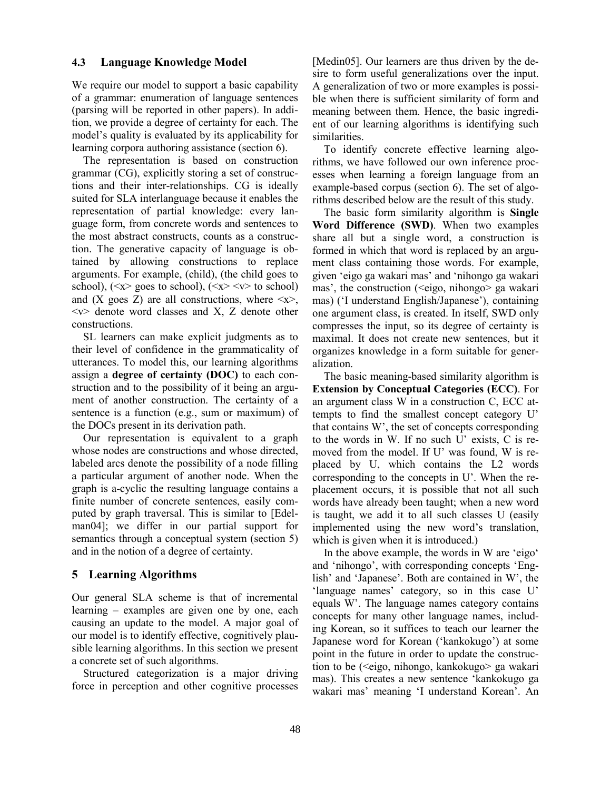#### **4.3 Language Knowledge Model**

We require our model to support a basic capability of a grammar: enumeration of language sentences (parsing will be reported in other papers). In addition, we provide a degree of certainty for each. The model's quality is evaluated by its applicability for learning corpora authoring assistance (section 6).

The representation is based on construction grammar (CG), explicitly storing a set of constructions and their inter-relationships. CG is ideally suited for SLA interlanguage because it enables the representation of partial knowledge: every language form, from concrete words and sentences to the most abstract constructs, counts as a construction. The generative capacity of language is obtained by allowing constructions to replace arguments. For example, (child), (the child goes to school),  $(\langle x \rangle \text{ goes to school})$ ,  $(\langle x \rangle \langle x \rangle \langle y \rangle \text{ to school})$ and (X goes Z) are all constructions, where  $\langle x \rangle$ ,  $\langle v \rangle$  denote word classes and X, Z denote other constructions.

SL learners can make explicit judgments as to their level of confidence in the grammaticality of utterances. To model this, our learning algorithms assign a **degree of certainty (DOC)** to each construction and to the possibility of it being an argument of another construction. The certainty of a sentence is a function (e.g., sum or maximum) of the DOCs present in its derivation path.

Our representation is equivalent to a graph whose nodes are constructions and whose directed, labeled arcs denote the possibility of a node filling a particular argument of another node. When the graph is a-cyclic the resulting language contains a finite number of concrete sentences, easily computed by graph traversal. This is similar to [Edelman04]; we differ in our partial support for semantics through a conceptual system (section 5) and in the notion of a degree of certainty.

#### **5 Learning Algorithms**

Our general SLA scheme is that of incremental learning – examples are given one by one, each causing an update to the model. A major goal of our model is to identify effective, cognitively plausible learning algorithms. In this section we present a concrete set of such algorithms.

Structured categorization is a major driving force in perception and other cognitive processes [Medin05]. Our learners are thus driven by the desire to form useful generalizations over the input. A generalization of two or more examples is possible when there is sufficient similarity of form and meaning between them. Hence, the basic ingredient of our learning algorithms is identifying such similarities.

To identify concrete effective learning algorithms, we have followed our own inference processes when learning a foreign language from an example-based corpus (section 6). The set of algorithms described below are the result of this study.

The basic form similarity algorithm is **Single Word Difference (SWD)**. When two examples share all but a single word, a construction is formed in which that word is replaced by an argument class containing those words. For example, given 'eigo ga wakari mas' and 'nihongo ga wakari mas', the construction (<eigo, nihongo> ga wakari mas) ('I understand English/Japanese'), containing one argument class, is created. In itself, SWD only compresses the input, so its degree of certainty is maximal. It does not create new sentences, but it organizes knowledge in a form suitable for generalization.

The basic meaning-based similarity algorithm is **Extension by Conceptual Categories (ECC)**. For an argument class W in a construction C, ECC attempts to find the smallest concept category U' that contains W', the set of concepts corresponding to the words in W. If no such U' exists, C is removed from the model. If U' was found, W is replaced by U, which contains the L2 words corresponding to the concepts in U'. When the replacement occurs, it is possible that not all such words have already been taught; when a new word is taught, we add it to all such classes U (easily implemented using the new word's translation, which is given when it is introduced.)

In the above example, the words in W are 'eigo' and 'nihongo', with corresponding concepts 'English' and 'Japanese'. Both are contained in W', the 'language names' category, so in this case U' equals W'. The language names category contains concepts for many other language names, including Korean, so it suffices to teach our learner the Japanese word for Korean ('kankokugo') at some point in the future in order to update the construction to be (<eigo, nihongo, kankokugo> ga wakari mas). This creates a new sentence 'kankokugo ga wakari mas' meaning 'I understand Korean'. An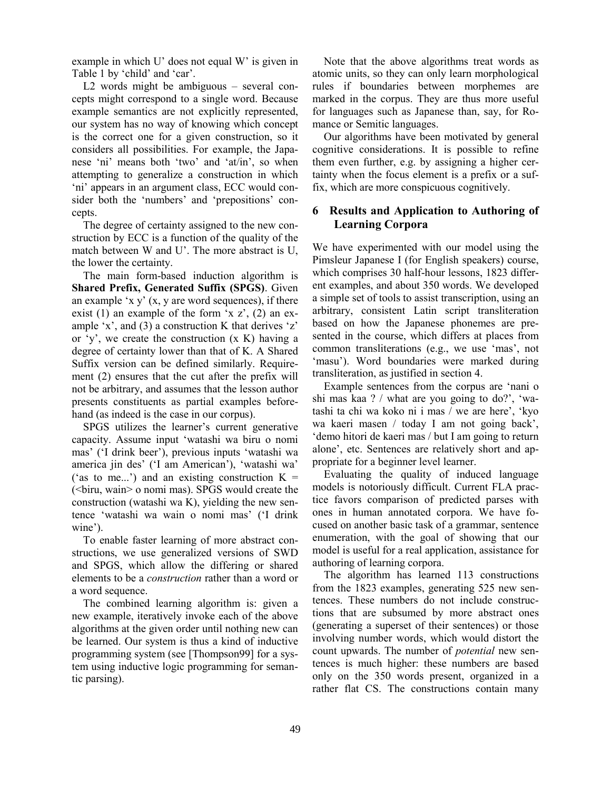example in which U' does not equal W' is given in Table 1 by 'child' and 'car'.

L2 words might be ambiguous – several concepts might correspond to a single word. Because example semantics are not explicitly represented, our system has no way of knowing which concept is the correct one for a given construction, so it considers all possibilities. For example, the Japanese 'ni' means both 'two' and 'at/in', so when attempting to generalize a construction in which 'ni' appears in an argument class, ECC would consider both the 'numbers' and 'prepositions' concepts.

The degree of certainty assigned to the new construction by ECC is a function of the quality of the match between W and U'. The more abstract is U, the lower the certainty.

The main form-based induction algorithm is **Shared Prefix, Generated Suffix (SPGS)**. Given an example 'x  $y'$  (x, y are word sequences), if there exist (1) an example of the form  $x \, z'$ , (2) an example 'x', and (3) a construction K that derives 'z' or 'y', we create the construction (x K) having a degree of certainty lower than that of K. A Shared Suffix version can be defined similarly. Requirement (2) ensures that the cut after the prefix will not be arbitrary, and assumes that the lesson author presents constituents as partial examples beforehand (as indeed is the case in our corpus).

SPGS utilizes the learner's current generative capacity. Assume input 'watashi wa biru o nomi mas' ('I drink beer'), previous inputs 'watashi wa america jin des' ('I am American'), 'watashi wa' ('as to me...') and an existing construction  $K =$ (<biru, wain> o nomi mas). SPGS would create the construction (watashi wa K), yielding the new sentence 'watashi wa wain o nomi mas' ('I drink wine').

To enable faster learning of more abstract constructions, we use generalized versions of SWD and SPGS, which allow the differing or shared elements to be a *construction* rather than a word or a word sequence.

The combined learning algorithm is: given a new example, iteratively invoke each of the above algorithms at the given order until nothing new can be learned. Our system is thus a kind of inductive programming system (see [Thompson99] for a system using inductive logic programming for semantic parsing).

Note that the above algorithms treat words as atomic units, so they can only learn morphological rules if boundaries between morphemes are marked in the corpus. They are thus more useful for languages such as Japanese than, say, for Romance or Semitic languages.

Our algorithms have been motivated by general cognitive considerations. It is possible to refine them even further, e.g. by assigning a higher certainty when the focus element is a prefix or a suffix, which are more conspicuous cognitively.

# **6 Results and Application to Authoring of Learning Corpora**

We have experimented with our model using the Pimsleur Japanese I (for English speakers) course, which comprises 30 half-hour lessons, 1823 different examples, and about 350 words. We developed a simple set of tools to assist transcription, using an arbitrary, consistent Latin script transliteration based on how the Japanese phonemes are presented in the course, which differs at places from common transliterations (e.g., we use 'mas', not 'masu'). Word boundaries were marked during transliteration, as justified in section 4.

Example sentences from the corpus are 'nani o shi mas kaa ? / what are you going to do?', 'watashi ta chi wa koko ni i mas / we are here', 'kyo wa kaeri masen / today I am not going back', 'demo hitori de kaeri mas / but I am going to return alone', etc. Sentences are relatively short and appropriate for a beginner level learner.

Evaluating the quality of induced language models is notoriously difficult. Current FLA practice favors comparison of predicted parses with ones in human annotated corpora. We have focused on another basic task of a grammar, sentence enumeration, with the goal of showing that our model is useful for a real application, assistance for authoring of learning corpora.

The algorithm has learned 113 constructions from the 1823 examples, generating 525 new sentences. These numbers do not include constructions that are subsumed by more abstract ones (generating a superset of their sentences) or those involving number words, which would distort the count upwards. The number of *potential* new sentences is much higher: these numbers are based only on the 350 words present, organized in a rather flat CS. The constructions contain many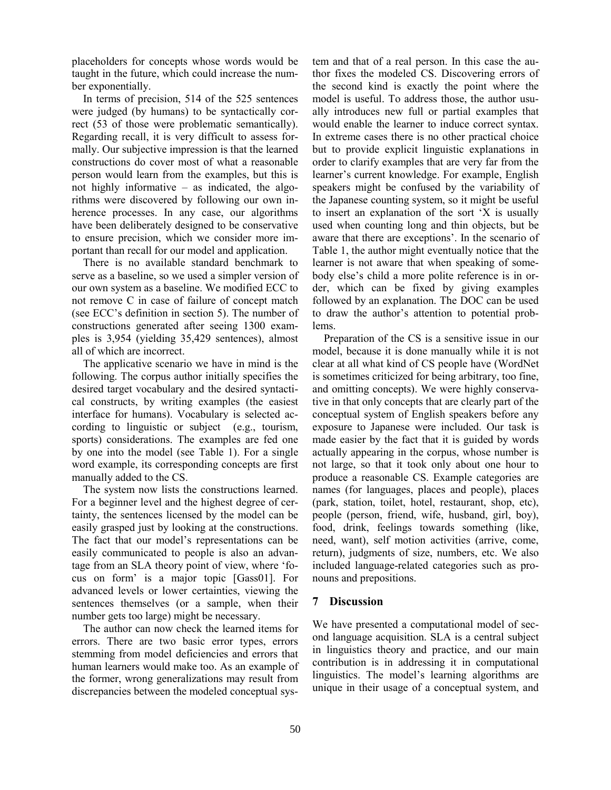placeholders for concepts whose words would be taught in the future, which could increase the number exponentially.

In terms of precision, 514 of the 525 sentences were judged (by humans) to be syntactically correct (53 of those were problematic semantically). Regarding recall, it is very difficult to assess formally. Our subjective impression is that the learned constructions do cover most of what a reasonable person would learn from the examples, but this is not highly informative – as indicated, the algorithms were discovered by following our own inherence processes. In any case, our algorithms have been deliberately designed to be conservative to ensure precision, which we consider more important than recall for our model and application.

There is no available standard benchmark to serve as a baseline, so we used a simpler version of our own system as a baseline. We modified ECC to not remove C in case of failure of concept match (see ECC's definition in section 5). The number of constructions generated after seeing 1300 examples is 3,954 (yielding 35,429 sentences), almost all of which are incorrect.

The applicative scenario we have in mind is the following. The corpus author initially specifies the desired target vocabulary and the desired syntactical constructs, by writing examples (the easiest interface for humans). Vocabulary is selected according to linguistic or subject (e.g., tourism, sports) considerations. The examples are fed one by one into the model (see Table 1). For a single word example, its corresponding concepts are first manually added to the CS.

The system now lists the constructions learned. For a beginner level and the highest degree of certainty, the sentences licensed by the model can be easily grasped just by looking at the constructions. The fact that our model's representations can be easily communicated to people is also an advantage from an SLA theory point of view, where 'focus on form' is a major topic [Gass01]. For advanced levels or lower certainties, viewing the sentences themselves (or a sample, when their number gets too large) might be necessary.

The author can now check the learned items for errors. There are two basic error types, errors stemming from model deficiencies and errors that human learners would make too. As an example of the former, wrong generalizations may result from discrepancies between the modeled conceptual system and that of a real person. In this case the author fixes the modeled CS. Discovering errors of the second kind is exactly the point where the model is useful. To address those, the author usually introduces new full or partial examples that would enable the learner to induce correct syntax. In extreme cases there is no other practical choice but to provide explicit linguistic explanations in order to clarify examples that are very far from the learner's current knowledge. For example, English speakers might be confused by the variability of the Japanese counting system, so it might be useful to insert an explanation of the sort 'X is usually used when counting long and thin objects, but be aware that there are exceptions'. In the scenario of Table 1, the author might eventually notice that the learner is not aware that when speaking of somebody else's child a more polite reference is in order, which can be fixed by giving examples followed by an explanation. The DOC can be used to draw the author's attention to potential problems.

Preparation of the CS is a sensitive issue in our model, because it is done manually while it is not clear at all what kind of CS people have (WordNet is sometimes criticized for being arbitrary, too fine, and omitting concepts). We were highly conservative in that only concepts that are clearly part of the conceptual system of English speakers before any exposure to Japanese were included. Our task is made easier by the fact that it is guided by words actually appearing in the corpus, whose number is not large, so that it took only about one hour to produce a reasonable CS. Example categories are names (for languages, places and people), places (park, station, toilet, hotel, restaurant, shop, etc), people (person, friend, wife, husband, girl, boy), food, drink, feelings towards something (like, need, want), self motion activities (arrive, come, return), judgments of size, numbers, etc. We also included language-related categories such as pronouns and prepositions.

# **7 Discussion**

We have presented a computational model of second language acquisition. SLA is a central subject in linguistics theory and practice, and our main contribution is in addressing it in computational linguistics. The model's learning algorithms are unique in their usage of a conceptual system, and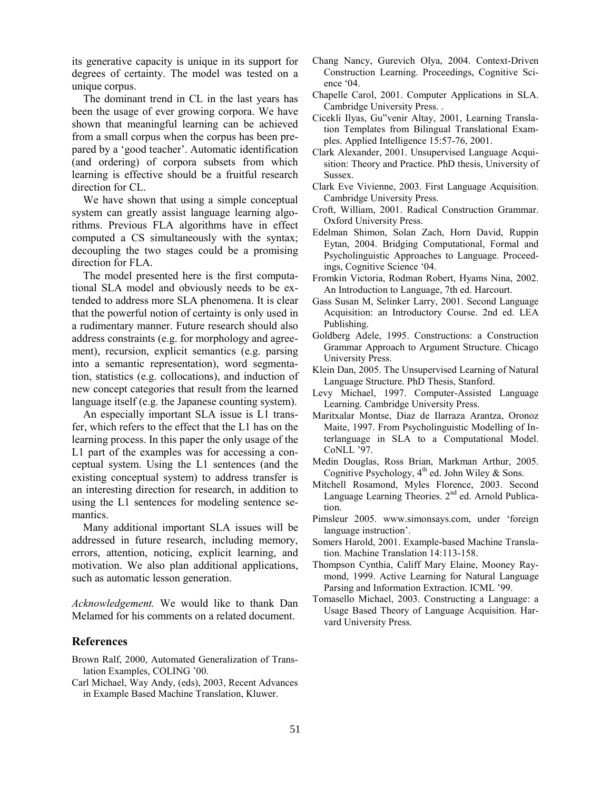its generative capacity is unique in its support for degrees of certainty. The model was tested on a unique corpus.

The dominant trend in CL in the last years has been the usage of ever growing corpora. We have shown that meaningful learning can be achieved from a small corpus when the corpus has been prepared by a 'good teacher'. Automatic identification (and ordering) of corpora subsets from which learning is effective should be a fruitful research direction for CL.

We have shown that using a simple conceptual system can greatly assist language learning algorithms. Previous FLA algorithms have in effect computed a CS simultaneously with the syntax; decoupling the two stages could be a promising direction for FLA.

The model presented here is the first computational SLA model and obviously needs to be extended to address more SLA phenomena. It is clear that the powerful notion of certainty is only used in a rudimentary manner. Future research should also address constraints (e.g. for morphology and agreement), recursion, explicit semantics (e.g. parsing into a semantic representation), word segmentation, statistics (e.g. collocations), and induction of new concept categories that result from the learned language itself (e.g. the Japanese counting system).

An especially important SLA issue is L1 transfer, which refers to the effect that the L1 has on the learning process. In this paper the only usage of the L1 part of the examples was for accessing a conceptual system. Using the L1 sentences (and the existing conceptual system) to address transfer is an interesting direction for research, in addition to using the L1 sentences for modeling sentence semantics.

Many additional important SLA issues will be addressed in future research, including memory, errors, attention, noticing, explicit learning, and motivation. We also plan additional applications, such as automatic lesson generation.

*Acknowledgement.* We would like to thank Dan Melamed for his comments on a related document.

#### **References**

- Brown Ralf, 2000, Automated Generalization of Translation Examples, COLING '00.
- Carl Michael, Way Andy, (eds), 2003, Recent Advances in Example Based Machine Translation, Kluwer.
- Chang Nancy, Gurevich Olya, 2004. Context-Driven Construction Learning. Proceedings, Cognitive Science '04.
- Chapelle Carol, 2001. Computer Applications in SLA. Cambridge University Press. .
- Cicekli Ilyas, Gu"venir Altay, 2001, Learning Translation Templates from Bilingual Translational Examples. Applied Intelligence 15:57-76, 2001.
- Clark Alexander, 2001. Unsupervised Language Acquisition: Theory and Practice. PhD thesis, University of Sussex.
- Clark Eve Vivienne, 2003. First Language Acquisition. Cambridge University Press.
- Croft, William, 2001. Radical Construction Grammar. Oxford University Press.
- Edelman Shimon, Solan Zach, Horn David, Ruppin Eytan, 2004. Bridging Computational, Formal and Psycholinguistic Approaches to Language. Proceedings, Cognitive Science '04.
- Fromkin Victoria, Rodman Robert, Hyams Nina, 2002. An Introduction to Language, 7th ed. Harcourt.
- Gass Susan M, Selinker Larry, 2001. Second Language Acquisition: an Introductory Course. 2nd ed. LEA Publishing.
- Goldberg Adele, 1995. Constructions: a Construction Grammar Approach to Argument Structure. Chicago University Press.
- Klein Dan, 2005. The Unsupervised Learning of Natural Language Structure. PhD Thesis, Stanford.
- Levy Michael, 1997. Computer-Assisted Language Learning. Cambridge University Press.
- Maritxalar Montse, Diaz de Ilarraza Arantza, Oronoz Maite, 1997. From Psycholinguistic Modelling of Interlanguage in SLA to a Computational Model. CoNLL '97.
- Medin Douglas, Ross Brian, Markman Arthur, 2005. Cognitive Psychology,  $4<sup>th</sup>$  ed. John Wiley & Sons.
- Mitchell Rosamond, Myles Florence, 2003. Second Language Learning Theories. 2<sup>nd</sup> ed. Arnold Publication.
- Pimsleur 2005. www.simonsays.com, under 'foreign language instruction'.
- Somers Harold, 2001. Example-based Machine Translation. Machine Translation 14:113-158.
- Thompson Cynthia, Califf Mary Elaine, Mooney Raymond, 1999. Active Learning for Natural Language Parsing and Information Extraction. ICML '99.
- Tomasello Michael, 2003. Constructing a Language: a Usage Based Theory of Language Acquisition. Harvard University Press.